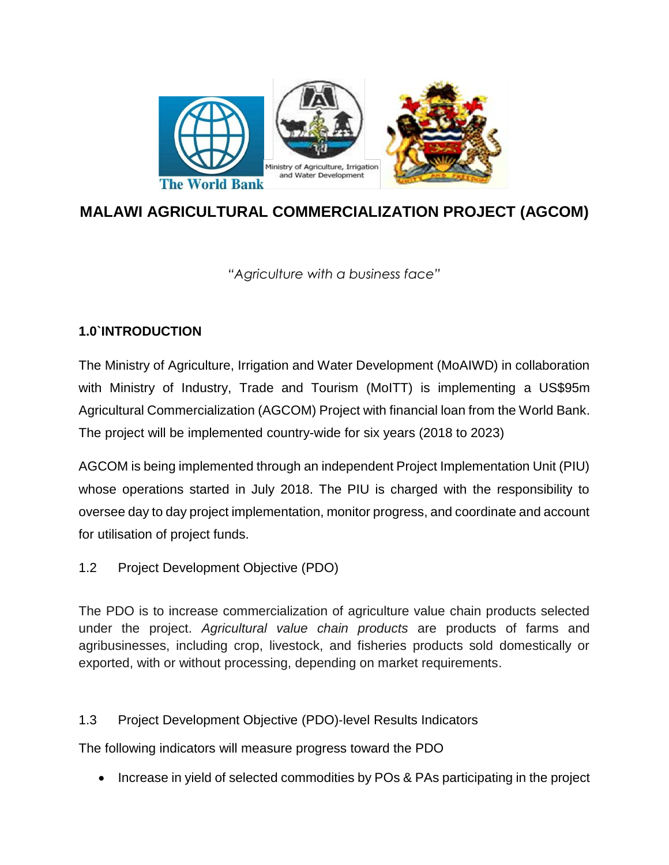

# **MALAWI AGRICULTURAL COMMERCIALIZATION PROJECT (AGCOM)**

*"Agriculture with a business face"*

## **1.0`INTRODUCTION**

The Ministry of Agriculture, Irrigation and Water Development (MoAIWD) in collaboration with Ministry of Industry, Trade and Tourism (MoITT) is implementing a US\$95m Agricultural Commercialization (AGCOM) Project with financial loan from the World Bank. The project will be implemented country-wide for six years (2018 to 2023)

AGCOM is being implemented through an independent Project Implementation Unit (PIU) whose operations started in July 2018. The PIU is charged with the responsibility to oversee day to day project implementation, monitor progress, and coordinate and account for utilisation of project funds.

1.2 Project Development Objective (PDO)

The PDO is to increase commercialization of agriculture value chain products selected under the project. *Agricultural value chain products* are products of farms and agribusinesses, including crop, livestock, and fisheries products sold domestically or exported, with or without processing, depending on market requirements.

1.3 Project Development Objective (PDO)‐level Results Indicators

The following indicators will measure progress toward the PDO

• Increase in yield of selected commodities by POs & PAs participating in the project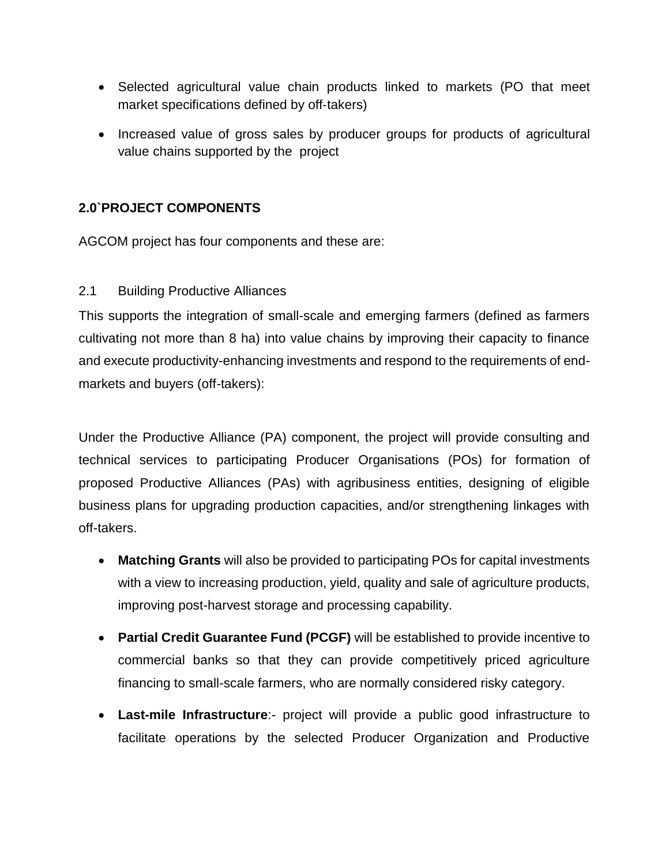- Selected agricultural value chain products linked to markets (PO that meet market specifications defined by off-takers)
- Increased value of gross sales by producer groups for products of agricultural value chains supported by the project

## **2.0`PROJECT COMPONENTS**

AGCOM project has four components and these are:

2.1 Building Productive Alliances

This supports the integration of small-scale and emerging farmers (defined as farmers cultivating not more than 8 ha) into value chains by improving their capacity to finance and execute productivity-enhancing investments and respond to the requirements of endmarkets and buyers (off-takers):

Under the Productive Alliance (PA) component, the project will provide consulting and technical services to participating Producer Organisations (POs) for formation of proposed Productive Alliances (PAs) with agribusiness entities, designing of eligible business plans for upgrading production capacities, and/or strengthening linkages with off-takers.

- **Matching Grants** will also be provided to participating POs for capital investments with a view to increasing production, yield, quality and sale of agriculture products, improving post-harvest storage and processing capability.
- **Partial Credit Guarantee Fund (PCGF)** will be established to provide incentive to commercial banks so that they can provide competitively priced agriculture financing to small-scale farmers, who are normally considered risky category.
- **Last-mile Infrastructure**:- project will provide a public good infrastructure to facilitate operations by the selected Producer Organization and Productive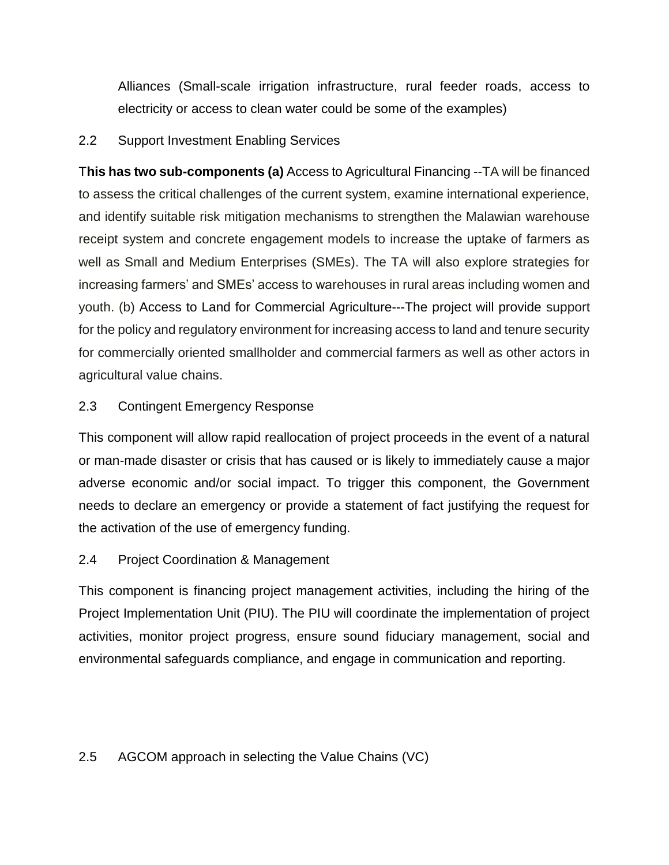Alliances (Small-scale irrigation infrastructure, rural feeder roads, access to electricity or access to clean water could be some of the examples)

#### 2.2 Support Investment Enabling Services

T**his has two sub-components (a)** Access to Agricultural Financing --TA will be financed to assess the critical challenges of the current system, examine international experience, and identify suitable risk mitigation mechanisms to strengthen the Malawian warehouse receipt system and concrete engagement models to increase the uptake of farmers as well as Small and Medium Enterprises (SMEs). The TA will also explore strategies for increasing farmers' and SMEs' access to warehouses in rural areas including women and youth. (b) Access to Land for Commercial Agriculture---The project will provide support for the policy and regulatory environment for increasing access to land and tenure security for commercially oriented smallholder and commercial farmers as well as other actors in agricultural value chains.

## 2.3 Contingent Emergency Response

This component will allow rapid reallocation of project proceeds in the event of a natural or man-made disaster or crisis that has caused or is likely to immediately cause a major adverse economic and/or social impact. To trigger this component, the Government needs to declare an emergency or provide a statement of fact justifying the request for the activation of the use of emergency funding.

#### 2.4 Project Coordination & Management

This component is financing project management activities, including the hiring of the Project Implementation Unit (PIU). The PIU will coordinate the implementation of project activities, monitor project progress, ensure sound fiduciary management, social and environmental safeguards compliance, and engage in communication and reporting.

#### 2.5 AGCOM approach in selecting the Value Chains (VC)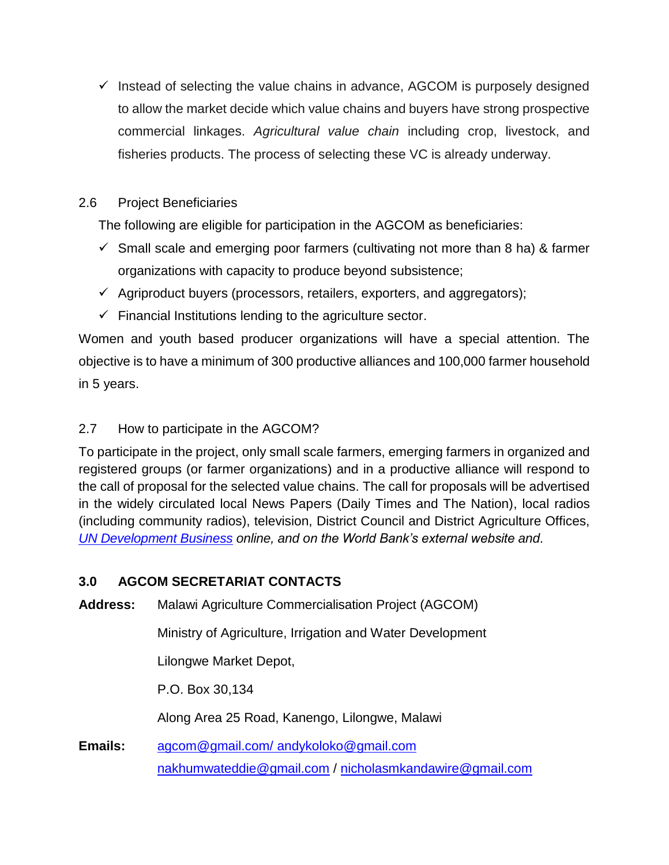$\checkmark$  Instead of selecting the value chains in advance, AGCOM is purposely designed to allow the market decide which value chains and buyers have strong prospective commercial linkages. *Agricultural value chain* including crop, livestock, and fisheries products. The process of selecting these VC is already underway.

## 2.6 Project Beneficiaries

The following are eligible for participation in the AGCOM as beneficiaries:

- $\checkmark$  Small scale and emerging poor farmers (cultivating not more than 8 ha) & farmer organizations with capacity to produce beyond subsistence;
- $\checkmark$  Agriproduct buyers (processors, retailers, exporters, and aggregators);
- $\checkmark$  Financial Institutions lending to the agriculture sector.

Women and youth based producer organizations will have a special attention. The objective is to have a minimum of 300 productive alliances and 100,000 farmer household in 5 years.

## 2.7 How to participate in the AGCOM?

To participate in the project, only small scale farmers, emerging farmers in organized and registered groups (or farmer organizations) and in a productive alliance will respond to the call of proposal for the selected value chains. The call for proposals will be advertised in the widely circulated local News Papers (Daily Times and The Nation), local radios (including community radios), television, District Council and District Agriculture Offices, *[UN Development Business](http://www.devbusiness.com/) online, and on the World Bank's external website and*.

## **3.0 AGCOM SECRETARIAT CONTACTS**

**Address:** Malawi Agriculture Commercialisation Project (AGCOM)

Ministry of Agriculture, Irrigation and Water Development

Lilongwe Market Depot,

P.O. Box 30,134

Along Area 25 Road, Kanengo, Lilongwe, Malawi

**Emails:** [agcom@gmail.com/](mailto:agcom@gmail.com/) andykoloko@gmail.com [nakhumwateddie@gmail.com](mailto:nakhumwateddie@gmail.com) / [nicholasmkandawire@gmail.com](mailto:nicholasmkandawire@gmail.com)